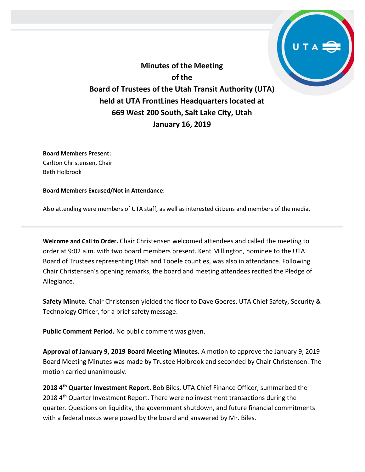**Minutes of the Meeting of the Board of Trustees of the Utah Transit Authority (UTA) held at UTA FrontLines Headquarters located at 669 West 200 South, Salt Lake City, Utah January 16, 2019**

**Board Members Present:** Carlton Christensen, Chair Beth Holbrook

**Board Members Excused/Not in Attendance:** 

Also attending were members of UTA staff, as well as interested citizens and members of the media.

**Welcome and Call to Order.** Chair Christensen welcomed attendees and called the meeting to order at 9:02 a.m. with two board members present. Kent Millington, nominee to the UTA Board of Trustees representing Utah and Tooele counties, was also in attendance. Following Chair Christensen's opening remarks, the board and meeting attendees recited the Pledge of Allegiance.

**Safety Minute.** Chair Christensen yielded the floor to Dave Goeres, UTA Chief Safety, Security & Technology Officer, for a brief safety message.

**Public Comment Period.** No public comment was given.

**Approval of January 9, 2019 Board Meeting Minutes.** A motion to approve the January 9, 2019 Board Meeting Minutes was made by Trustee Holbrook and seconded by Chair Christensen. The motion carried unanimously.

**2018 4th Quarter Investment Report.** Bob Biles, UTA Chief Finance Officer, summarized the 2018 4<sup>th</sup> Quarter Investment Report. There were no investment transactions during the quarter. Questions on liquidity, the government shutdown, and future financial commitments with a federal nexus were posed by the board and answered by Mr. Biles.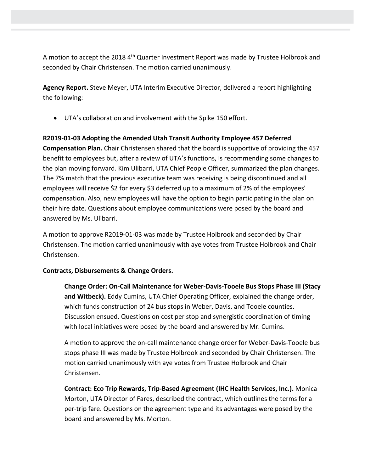A motion to accept the 2018 4<sup>th</sup> Quarter Investment Report was made by Trustee Holbrook and seconded by Chair Christensen. The motion carried unanimously.

**Agency Report.** Steve Meyer, UTA Interim Executive Director, delivered a report highlighting the following:

• UTA's collaboration and involvement with the Spike 150 effort.

## **R2019-01-03 Adopting the Amended Utah Transit Authority Employee 457 Deferred**

**Compensation Plan.** Chair Christensen shared that the board is supportive of providing the 457 benefit to employees but, after a review of UTA's functions, is recommending some changes to the plan moving forward. Kim Ulibarri, UTA Chief People Officer, summarized the plan changes. The 7% match that the previous executive team was receiving is being discontinued and all employees will receive \$2 for every \$3 deferred up to a maximum of 2% of the employees' compensation. Also, new employees will have the option to begin participating in the plan on their hire date. Questions about employee communications were posed by the board and answered by Ms. Ulibarri.

A motion to approve R2019-01-03 was made by Trustee Holbrook and seconded by Chair Christensen. The motion carried unanimously with aye votes from Trustee Holbrook and Chair Christensen.

## **Contracts, Disbursements & Change Orders.**

**Change Order: On-Call Maintenance for Weber-Davis-Tooele Bus Stops Phase III (Stacy and Witbeck).** Eddy Cumins, UTA Chief Operating Officer, explained the change order, which funds construction of 24 bus stops in Weber, Davis, and Tooele counties. Discussion ensued. Questions on cost per stop and synergistic coordination of timing with local initiatives were posed by the board and answered by Mr. Cumins.

A motion to approve the on-call maintenance change order for Weber-Davis-Tooele bus stops phase III was made by Trustee Holbrook and seconded by Chair Christensen. The motion carried unanimously with aye votes from Trustee Holbrook and Chair Christensen.

**Contract: Eco Trip Rewards, Trip-Based Agreement (IHC Health Services, Inc.).** Monica Morton, UTA Director of Fares, described the contract, which outlines the terms for a per-trip fare. Questions on the agreement type and its advantages were posed by the board and answered by Ms. Morton.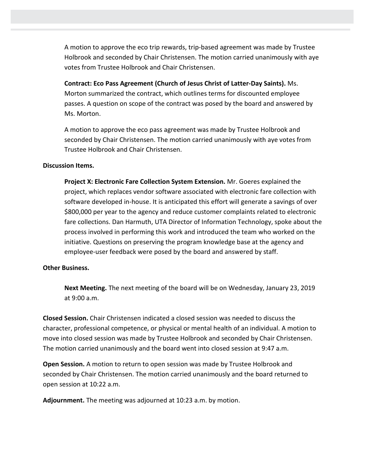A motion to approve the eco trip rewards, trip-based agreement was made by Trustee Holbrook and seconded by Chair Christensen. The motion carried unanimously with aye votes from Trustee Holbrook and Chair Christensen.

**Contract: Eco Pass Agreement (Church of Jesus Christ of Latter-Day Saints).** Ms. Morton summarized the contract, which outlines terms for discounted employee passes. A question on scope of the contract was posed by the board and answered by Ms. Morton.

A motion to approve the eco pass agreement was made by Trustee Holbrook and seconded by Chair Christensen. The motion carried unanimously with aye votes from Trustee Holbrook and Chair Christensen.

## **Discussion Items.**

**Project X: Electronic Fare Collection System Extension.** Mr. Goeres explained the project, which replaces vendor software associated with electronic fare collection with software developed in-house. It is anticipated this effort will generate a savings of over \$800,000 per year to the agency and reduce customer complaints related to electronic fare collections. Dan Harmuth, UTA Director of Information Technology, spoke about the process involved in performing this work and introduced the team who worked on the initiative. Questions on preserving the program knowledge base at the agency and employee-user feedback were posed by the board and answered by staff.

## **Other Business.**

**Next Meeting.** The next meeting of the board will be on Wednesday, January 23, 2019 at 9:00 a.m.

**Closed Session.** Chair Christensen indicated a closed session was needed to discuss the character, professional competence, or physical or mental health of an individual. A motion to move into closed session was made by Trustee Holbrook and seconded by Chair Christensen. The motion carried unanimously and the board went into closed session at 9:47 a.m.

**Open Session.** A motion to return to open session was made by Trustee Holbrook and seconded by Chair Christensen. The motion carried unanimously and the board returned to open session at 10:22 a.m.

**Adjournment.** The meeting was adjourned at 10:23 a.m. by motion.